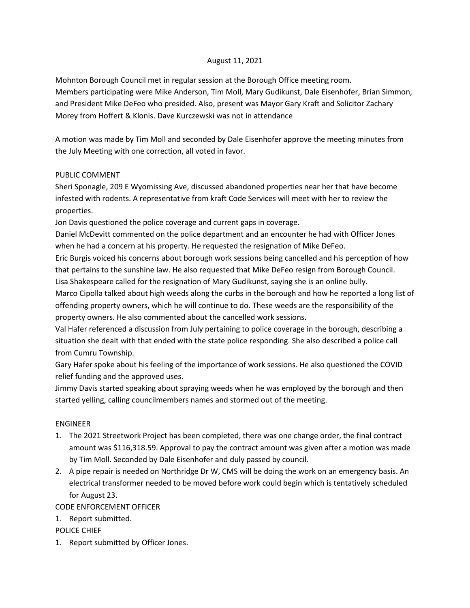# August 11, 2021

Mohnton Borough Council met in regular session at the Borough Office meeting room. Members participating were Mike Anderson, Tim Moll, Mary Gudikunst, Dale Eisenhofer, Brian Simmon, and President Mike DeFeo who presided. Also, present was Mayor Gary Kraft and Solicitor Zachary Morey from Hoffert & Klonis. Dave Kurczewski was not in attendance

A motion was made by Tim Moll and seconded by Dale Eisenhofer approve the meeting minutes from the July Meeting with one correction, all voted in favor.

# PUBLIC COMMENT

Sheri Sponagle, 209 E Wyomissing Ave, discussed abandoned properties near her that have become infested with rodents. A representative from kraft Code Services will meet with her to review the properties.

Jon Davis questioned the police coverage and current gaps in coverage.

Daniel McDevitt commented on the police department and an encounter he had with Officer Jones when he had a concern at his property. He requested the resignation of Mike DeFeo.

Eric Burgis voiced his concerns about borough work sessions being cancelled and his perception of how that pertains to the sunshine law. He also requested that Mike DeFeo resign from Borough Council. Lisa Shakespeare called for the resignation of Mary Gudikunst, saying she is an online bully.

Marco Cipolla talked about high weeds along the curbs in the borough and how he reported a long list of offending property owners, which he will continue to do. These weeds are the responsibility of the property owners. He also commented about the cancelled work sessions.

Val Hafer referenced a discussion from July pertaining to police coverage in the borough, describing a situation she dealt with that ended with the state police responding. She also described a police call from Cumru Township.

Gary Hafer spoke about his feeling of the importance of work sessions. He also questioned the COVID relief funding and the approved uses.

Jimmy Davis started speaking about spraying weeds when he was employed by the borough and then started yelling, calling councilmembers names and stormed out of the meeting.

# ENGINEER

- 1. The 2021 Streetwork Project has been completed, there was one change order, the final contract amount was \$116,318.59. Approval to pay the contract amount was given after a motion was made by Tim Moll. Seconded by Dale Eisenhofer and duly passed by council.
- 2. A pipe repair is needed on Northridge Dr W, CMS will be doing the work on an emergency basis. An electrical transformer needed to be moved before work could begin which is tentatively scheduled for August 23.

CODE ENFORCEMENT OFFICER

1. Report submitted.

POLICE CHIEF

1. Report submitted by Officer Jones.